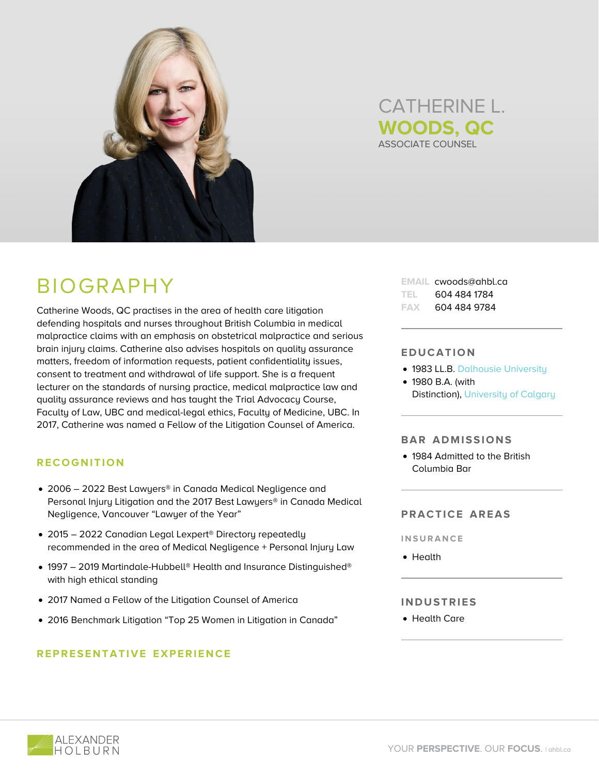



# BIOGRAPHY

Catherine Woods, QC practises in the area of health care litigation defending hospitals and nurses throughout British Columbia in medical malpractice claims with an emphasis on obstetrical malpractice and serious brain injury claims. Catherine also advises hospitals on quality assurance matters, freedom of information requests, patient confidentiality issues, consent to treatment and withdrawal of life support. She is a frequent lecturer on the standards of nursing practice, medical malpractice law and quality assurance reviews and has taught the Trial Advocacy Course, Faculty of Law, UBC and medical-legal ethics, Faculty of Medicine, UBC. In 2017, Catherine was named a Fellow of the Litigation Counsel of America.

# **RECOGNITION**

- 2006 2022 Best Lawyers® in Canada Medical Negligence and Personal Injury Litigation and the 2017 Best Lawyers® in Canada Medical Negligence, Vancouver "Lawyer of the Year"
- 2015 2022 Canadian Legal Lexpert<sup>®</sup> Directory repeatedly recommended in the area of Medical Negligence + Personal Injury Law
- 1997 2019 Martindale-Hubbell® Health and Insurance Distinguished® with high ethical standing
- 2017 Named a Fellow of the Litigation Counsel of America
- 2016 Benchmark Litigation "Top 25 Women in Litigation in Canada"

# **REPRESENTATIVE EXPERIENCE**

**EMAIL** cwoods@ahbl.ca **TEL** 604 484 1784 **FAX** 604 484 9784

#### **EDUCATION**

- **1983 LL.B. [Dalhousie University](https://www.dal.ca/)**
- 1980 B.A. (with Distinction), [University of Calgary](https://www.ucalgary.ca/)

#### **BAR ADMISSIONS**

1984 Admitted to the British Columbia Bar

### **PRACTICE AREAS**

**INSURANCE**

• Health

## **INDUSTRIES**

Health Care

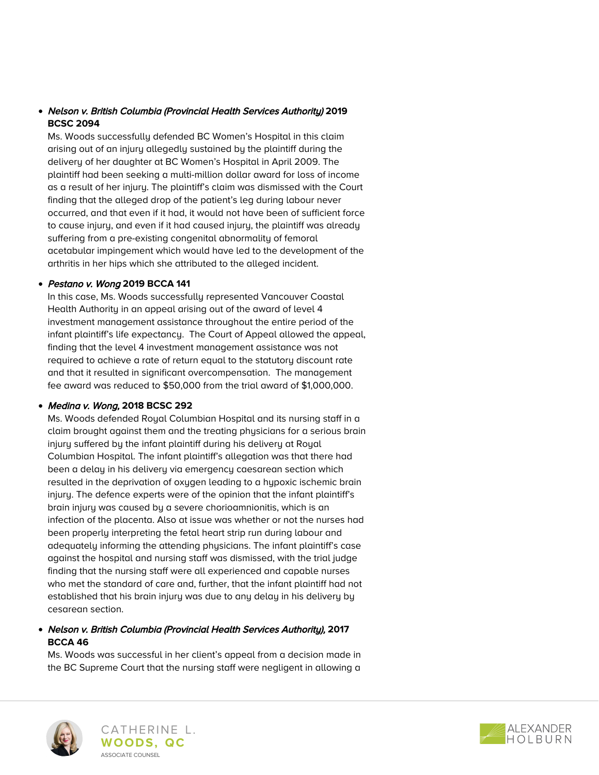# Nelson v. British Columbia (Provincial Health Services Authority) **2019 BCSC 2094**

Ms. Woods successfully defended BC Women's Hospital in this claim arising out of an injury allegedly sustained by the plaintiff during the delivery of her daughter at BC Women's Hospital in April 2009. The plaintiff had been seeking a multi-million dollar award for loss of income as a result of her injury. The plaintiff's claim was dismissed with the Court finding that the alleged drop of the patient's leg during labour never occurred, and that even if it had, it would not have been of sufficient force to cause injury, and even if it had caused injury, the plaintiff was already suffering from a pre-existing congenital abnormality of femoral acetabular impingement which would have led to the development of the arthritis in her hips which she attributed to the alleged incident.

## Pestano v. Wong **2019 BCCA 141**

In this case, Ms. Woods successfully represented Vancouver Coastal Health Authority in an appeal arising out of the award of level 4 investment management assistance throughout the entire period of the infant plaintiff's life expectancy. The Court of Appeal allowed the appeal, finding that the level 4 investment management assistance was not required to achieve a rate of return equal to the statutory discount rate and that it resulted in significant overcompensation. The management fee award was reduced to \$50,000 from the trial award of \$1,000,000.

### Medina v. Wong, **2018 BCSC 292**

Ms. Woods defended Royal Columbian Hospital and its nursing staff in a claim brought against them and the treating physicians for a serious brain injury suffered by the infant plaintiff during his delivery at Royal Columbian Hospital. The infant plaintiff's allegation was that there had been a delay in his delivery via emergency caesarean section which resulted in the deprivation of oxygen leading to a hypoxic ischemic brain injury. The defence experts were of the opinion that the infant plaintiff's brain injury was caused by a severe chorioamnionitis, which is an infection of the placenta. Also at issue was whether or not the nurses had been properly interpreting the fetal heart strip run during labour and adequately informing the attending physicians. The infant plaintiff's case against the hospital and nursing staff was dismissed, with the trial judge finding that the nursing staff were all experienced and capable nurses who met the standard of care and, further, that the infant plaintiff had not established that his brain injury was due to any delay in his delivery by cesarean section.

# Nelson v. British Columbia (Provincial Health Services Authority), **2017 BCCA 46**

Ms. Woods was successful in her client's appeal from a decision made in the BC Supreme Court that the nursing staff were negligent in allowing a



CATHERINE L. **WOODS, QC** ASSOCIATE COUNSEL

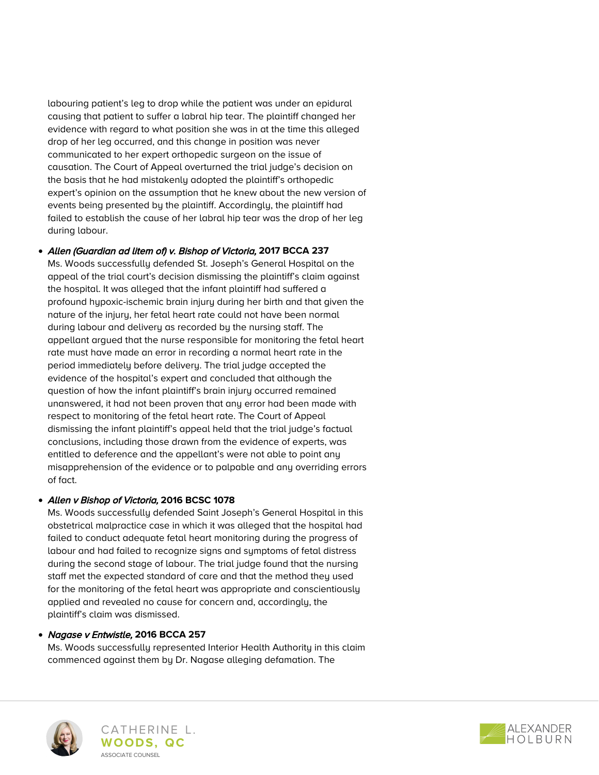labouring patient's leg to drop while the patient was under an epidural causing that patient to suffer a labral hip tear. The plaintiff changed her evidence with regard to what position she was in at the time this alleged drop of her leg occurred, and this change in position was never communicated to her expert orthopedic surgeon on the issue of causation. The Court of Appeal overturned the trial judge's decision on the basis that he had mistakenly adopted the plaintiff's orthopedic expert's opinion on the assumption that he knew about the new version of events being presented by the plaintiff. Accordingly, the plaintiff had failed to establish the cause of her labral hip tear was the drop of her leg during labour.

## Allen (Guardian ad litem of) v. Bishop of Victoria, **2017 BCCA 237**

Ms. Woods successfully defended St. Joseph's General Hospital on the appeal of the trial court's decision dismissing the plaintiff's claim against the hospital. It was alleged that the infant plaintiff had suffered a profound hypoxic-ischemic brain injury during her birth and that given the nature of the injury, her fetal heart rate could not have been normal during labour and delivery as recorded by the nursing staff. The appellant argued that the nurse responsible for monitoring the fetal heart rate must have made an error in recording a normal heart rate in the period immediately before delivery. The trial judge accepted the evidence of the hospital's expert and concluded that although the question of how the infant plaintiff's brain injury occurred remained unanswered, it had not been proven that any error had been made with respect to monitoring of the fetal heart rate. The Court of Appeal dismissing the infant plaintiff's appeal held that the trial judge's factual conclusions, including those drawn from the evidence of experts, was entitled to deference and the appellant's were not able to point any misapprehension of the evidence or to palpable and any overriding errors of fact.

### Allen v Bishop of Victoria, **2016 BCSC 1078**

Ms. Woods successfully defended Saint Joseph's General Hospital in this obstetrical malpractice case in which it was alleged that the hospital had failed to conduct adequate fetal heart monitoring during the progress of labour and had failed to recognize signs and symptoms of fetal distress during the second stage of labour. The trial judge found that the nursing staff met the expected standard of care and that the method they used for the monitoring of the fetal heart was appropriate and conscientiously applied and revealed no cause for concern and, accordingly, the plaintiff's claim was dismissed.

# Nagase v Entwistle, **2016 BCCA 257**

Ms. Woods successfully represented Interior Health Authority in this claim commenced against them by Dr. Nagase alleging defamation. The





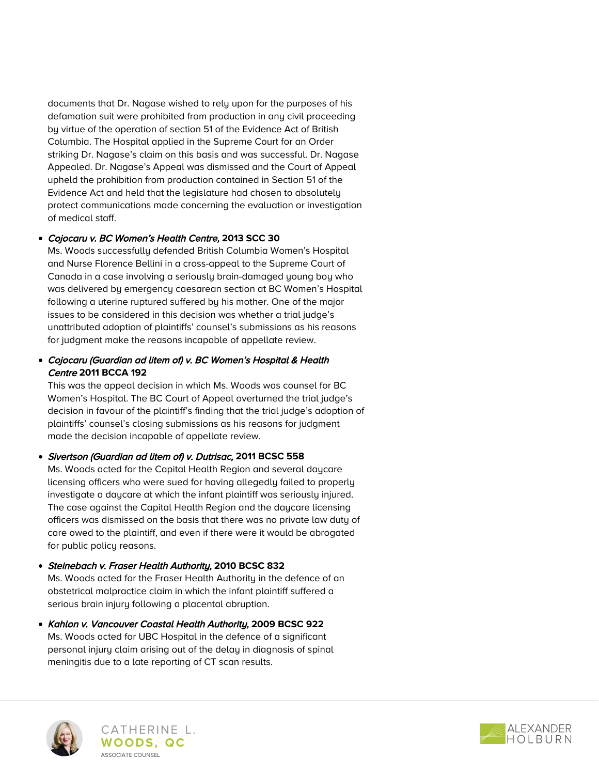documents that Dr. Nagase wished to rely upon for the purposes of his defamation suit were prohibited from production in any civil proceeding by virtue of the operation of section 51 of the Evidence Act of British Columbia. The Hospital applied in the Supreme Court for an Order striking Dr. Nagase's claim on this basis and was successful. Dr. Nagase Appealed. Dr. Nagase's Appeal was dismissed and the Court of Appeal upheld the prohibition from production contained in Section 51 of the Evidence Act and held that the legislature had chosen to absolutely protect communications made concerning the evaluation or investigation of medical staff.

# Cojocaru v. BC Women's Health Centre, **2013 SCC 30**

Ms. Woods successfully defended British Columbia Women's Hospital and Nurse Florence Bellini in a cross-appeal to the Supreme Court of Canada in a case involving a seriously brain-damaged young boy who was delivered by emergency caesarean section at BC Women's Hospital following a uterine ruptured suffered by his mother. One of the major issues to be considered in this decision was whether a trial judge's unattributed adoption of plaintiffs' counsel's submissions as his reasons for judgment make the reasons incapable of appellate review.

# Cojocaru (Guardian ad litem of) v. BC Women's Hospital & Health Centre **2011 BCCA 192**

This was the appeal decision in which Ms. Woods was counsel for BC Women's Hospital. The BC Court of Appeal overturned the trial judge's decision in favour of the plaintiff's finding that the trial judge's adoption of plaintiffs' counsel's closing submissions as his reasons for judgment made the decision incapable of appellate review.

# Sivertson (Guardian ad litem of) v. Dutrisac, **2011 BCSC 558**

Ms. Woods acted for the Capital Health Region and several daycare licensing officers who were sued for having allegedly failed to properly investigate a daycare at which the infant plaintiff was seriously injured. The case against the Capital Health Region and the daycare licensing officers was dismissed on the basis that there was no private law duty of care owed to the plaintiff, and even if there were it would be abrogated for public policy reasons.

- Steinebach v. Fraser Health Authority, **2010 BCSC 832** Ms. Woods acted for the Fraser Health Authority in the defence of an obstetrical malpractice claim in which the infant plaintiff suffered a serious brain injury following a placental abruption.
- Kahlon v. Vancouver Coastal Health Authority, **2009 BCSC 922** Ms. Woods acted for UBC Hospital in the defence of a significant personal injury claim arising out of the delay in diagnosis of spinal meningitis due to a late reporting of CT scan results.